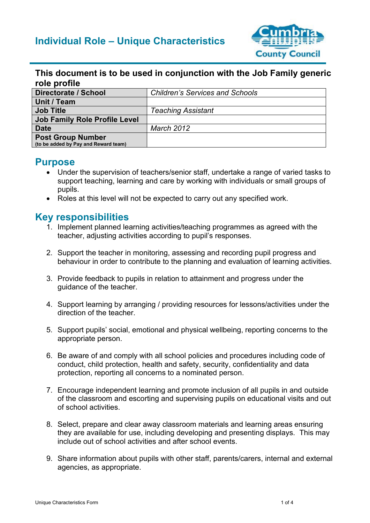

#### **This document is to be used in conjunction with the Job Family generic role profile**

| Directorate / School                                             | <b>Children's Services and Schools</b> |
|------------------------------------------------------------------|----------------------------------------|
| Unit / Team                                                      |                                        |
| <b>Job Title</b>                                                 | <b>Teaching Assistant</b>              |
| <b>Job Family Role Profile Level</b>                             |                                        |
| Date                                                             | <b>March 2012</b>                      |
| <b>Post Group Number</b><br>(to be added by Pay and Reward team) |                                        |

#### **Purpose**

- Under the supervision of teachers/senior staff, undertake a range of varied tasks to support teaching, learning and care by working with individuals or small groups of pupils.
- Roles at this level will not be expected to carry out any specified work.

#### **Key responsibilities**

- 1. Implement planned learning activities/teaching programmes as agreed with the teacher, adjusting activities according to pupil's responses.
- 2. Support the teacher in monitoring, assessing and recording pupil progress and behaviour in order to contribute to the planning and evaluation of learning activities.
- 3. Provide feedback to pupils in relation to attainment and progress under the guidance of the teacher.
- 4. Support learning by arranging / providing resources for lessons/activities under the direction of the teacher.
- 5. Support pupils' social, emotional and physical wellbeing, reporting concerns to the appropriate person.
- 6. Be aware of and comply with all school policies and procedures including code of conduct, child protection, health and safety, security, confidentiality and data protection, reporting all concerns to a nominated person.
- 7. Encourage independent learning and promote inclusion of all pupils in and outside of the classroom and escorting and supervising pupils on educational visits and out of school activities.
- 8. Select, prepare and clear away classroom materials and learning areas ensuring they are available for use, including developing and presenting displays. This may include out of school activities and after school events.
- 9. Share information about pupils with other staff, parents/carers, internal and external agencies, as appropriate.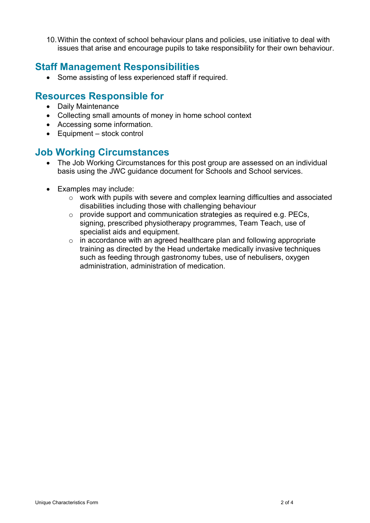10.Within the context of school behaviour plans and policies, use initiative to deal with issues that arise and encourage pupils to take responsibility for their own behaviour.

### **Staff Management Responsibilities**

• Some assisting of less experienced staff if required.

## **Resources Responsible for**

- Daily Maintenance
- Collecting small amounts of money in home school context
- Accessing some information.
- Equipment stock control

## **Job Working Circumstances**

- The Job Working Circumstances for this post group are assessed on an individual basis using the JWC guidance document for Schools and School services.
- Examples may include:
	- o work with pupils with severe and complex learning difficulties and associated disabilities including those with challenging behaviour
	- $\circ$  provide support and communication strategies as required e.g. PECs, signing, prescribed physiotherapy programmes, Team Teach, use of specialist aids and equipment.
	- $\circ$  in accordance with an agreed healthcare plan and following appropriate training as directed by the Head undertake medically invasive techniques such as feeding through gastronomy tubes, use of nebulisers, oxygen administration, administration of medication.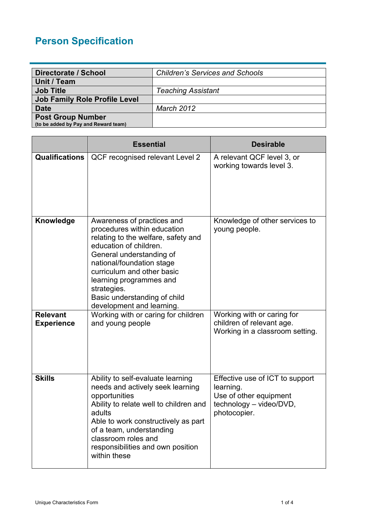# **Person Specification**

| Directorate / School                 | <b>Children's Services and Schools</b> |
|--------------------------------------|----------------------------------------|
| Unit / Team                          |                                        |
| <b>Job Title</b>                     | <b>Teaching Assistant</b>              |
| <b>Job Family Role Profile Level</b> |                                        |
| <b>Date</b>                          | <b>March 2012</b>                      |
| <b>Post Group Number</b>             |                                        |
| (to be added by Pay and Reward team) |                                        |

|                                      | <b>Essential</b>                                                                                                                                                                                                                                                                                                         | <b>Desirable</b>                                                                                                  |
|--------------------------------------|--------------------------------------------------------------------------------------------------------------------------------------------------------------------------------------------------------------------------------------------------------------------------------------------------------------------------|-------------------------------------------------------------------------------------------------------------------|
| <b>Qualifications</b>                | QCF recognised relevant Level 2                                                                                                                                                                                                                                                                                          | A relevant QCF level 3, or<br>working towards level 3.                                                            |
| Knowledge                            | Awareness of practices and<br>procedures within education<br>relating to the welfare, safety and<br>education of children.<br>General understanding of<br>national/foundation stage<br>curriculum and other basic<br>learning programmes and<br>strategies.<br>Basic understanding of child<br>development and learning. | Knowledge of other services to<br>young people.                                                                   |
| <b>Relevant</b><br><b>Experience</b> | Working with or caring for children<br>and young people                                                                                                                                                                                                                                                                  | Working with or caring for<br>children of relevant age.<br>Working in a classroom setting.                        |
| <b>Skills</b>                        | Ability to self-evaluate learning<br>needs and actively seek learning<br>opportunities<br>Ability to relate well to children and<br>adults<br>Able to work constructively as part<br>of a team, understanding<br>classroom roles and<br>responsibilities and own position<br>within these                                | Effective use of ICT to support<br>learning.<br>Use of other equipment<br>technology - video/DVD,<br>photocopier. |